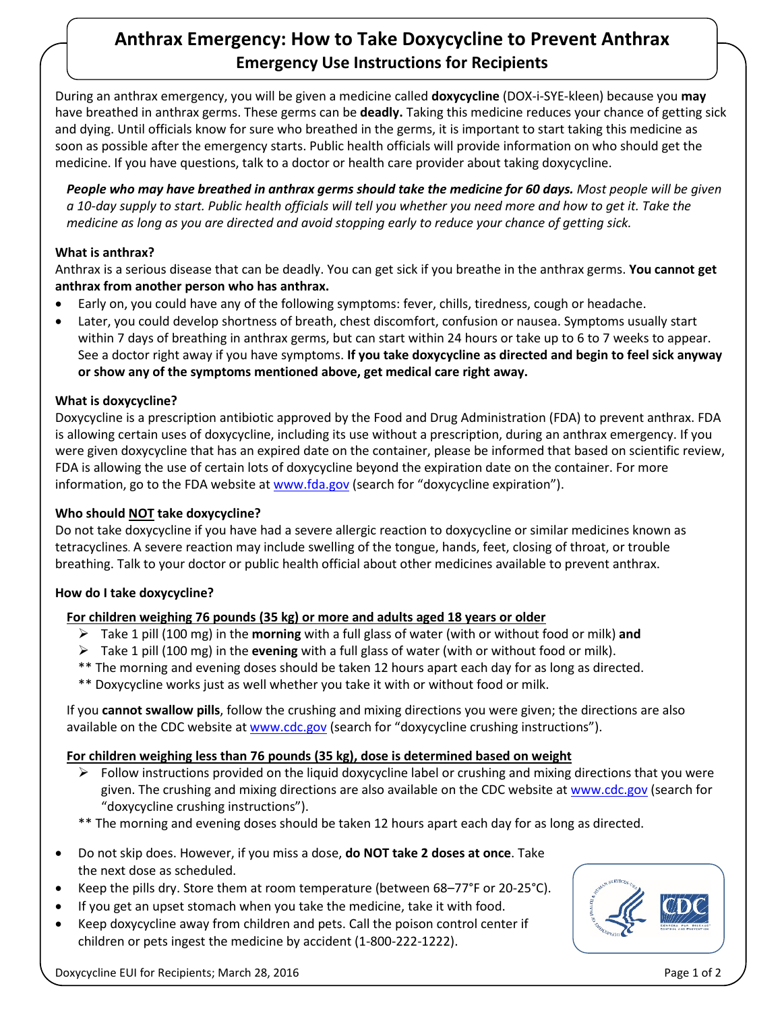# **Anthrax Emergency: How to Take Doxycycline to Prevent Anthrax Emergency Use Instructions for Recipients**

During an anthrax emergency, you will be given a medicine called **doxycycline** (DOX-i-SYE-kleen) because you **may** have breathed in anthrax germs. These germs can be **deadly.** Taking this medicine reduces your chance of getting sick and dying. Until officials know for sure who breathed in the germs, it is important to start taking this medicine as soon as possible after the emergency starts. Public health officials will provide information on who should get the medicine. If you have questions, talk to a doctor or health care provider about taking doxycycline.

*People who may have breathed in anthrax germs should take the medicine for 60 days. Most people will be given a 10-day supply to start. Public health officials will tell you whether you need more and how to get it. Take the medicine as long as you are directed and avoid stopping early to reduce your chance of getting sick.*

# **What is anthrax?**

Anthrax is a serious disease that can be deadly. You can get sick if you breathe in the anthrax germs. **You cannot get anthrax from another person who has anthrax.** 

- Early on, you could have any of the following symptoms: fever, chills, tiredness, cough or headache.
- Later, you could develop shortness of breath, chest discomfort, confusion or nausea. Symptoms usually start within 7 days of breathing in anthrax germs, but can start within 24 hours or take up to 6 to 7 weeks to appear. See a doctor right away if you have symptoms. **If you take doxycycline as directed and begin to feel sick anyway or show any of the symptoms mentioned above, get medical care right away.**

# **What is doxycycline?**

Doxycycline is a prescription antibiotic approved by the Food and Drug Administration (FDA) to prevent anthrax. FDA is allowing certain uses of doxycycline, including its use without a prescription, during an anthrax emergency. If you were given doxycycline that has an expired date on the container, please be informed that based on scientific review, FDA is allowing the use of certain lots of doxycycline beyond the expiration date on the container. For more information, go to the FDA website at www.fda.gov (search for "doxycycline expiration").

# **Who should NOT take doxycycline?**

Do not take doxycycline if you have had a severe allergic reaction to doxycycline or similar medicines known as tetracyclines. A severe reaction may include swelling of the tongue, hands, feet, closing of throat, or trouble breathing. Talk to your doctor or public health official about other medicines available to prevent anthrax.

## **How do I take doxycycline?**

# **For children weighing 76 pounds (35 kg) or more and adults aged 18 years or older**

- Take 1 pill (100 mg) in the **morning** with a full glass of water (with or without food or milk) **and**
- Take 1 pill (100 mg) in the **evening** with a full glass of water (with or without food or milk).
- \*\* The morning and evening doses should be taken 12 hours apart each day for as long as directed.
- \*\* Doxycycline works just as well whether you take it with or without food or milk.

If you **cannot swallow pills**, follow the crushing and mixing directions you were given; the directions are also available on the CDC website at www.cdc.gov (search for "doxycycline crushing instructions").

## **For children weighing less than 76 pounds (35 kg), dose is determined based on weight**

- $\triangleright$  Follow instructions provided on the liquid doxycycline label or crushing and mixing directions that you were given. The crushing and mixing directions are also available on the CDC website at www.cdc.gov (search for "doxycycline crushing instructions").
- \*\* The morning and evening doses should be taken 12 hours apart each day for as long as directed.
- Do not skip does. However, if you miss a dose, **do NOT take 2 doses at once**. Take the next dose as scheduled.
- Keep the pills dry. Store them at room temperature (between  $68-77$ °F or 20-25 $^{\circ}$ C).
- If you get an upset stomach when you take the medicine, take it with food.
- Keep doxycycline away from children and pets. Call the poison control center if children or pets ingest the medicine by accident (1-800-222-1222).



Doxycycline EUI for Recipients; March 28, 2016 Page 1 of 2